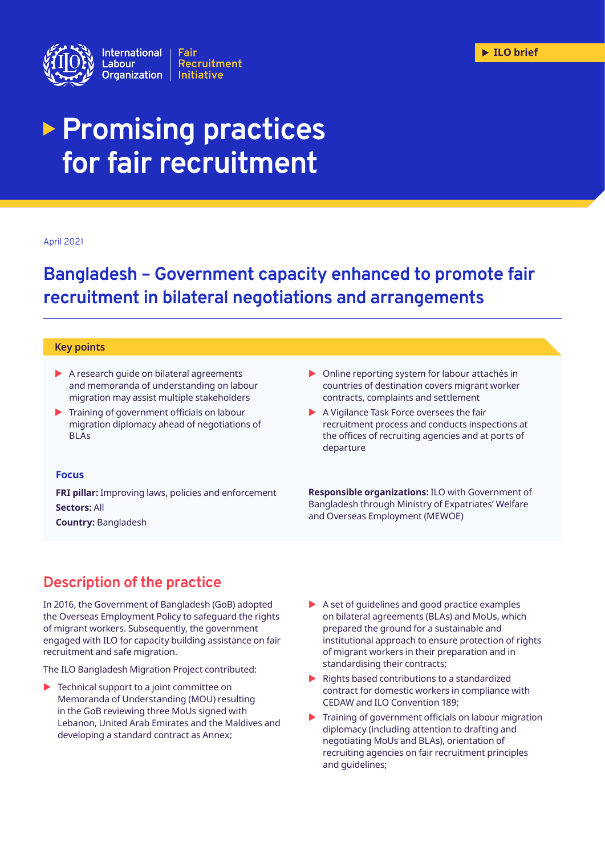

# **Promising practices for fair recruitment**

### April 2021

## **Bangladesh – Government capacity enhanced to promote fair recruitment in bilateral negotiations and arrangements**

#### **Key points**

- $\blacktriangleright$  A research quide on bilateral agreements and memoranda of understanding on labour migration may assist multiple stakeholders
- $\blacktriangleright$  Training of government officials on labour migration diplomacy ahead of negotiations of BLAs
- $\triangleright$  Online reporting system for labour attachés in countries of destination covers migrant worker contracts, complaints and settlement
- $\blacktriangleright$  A Vigilance Task Force oversees the fair recruitment process and conducts inspections at the offices of recruiting agencies and at ports of departure

### **Focus**

**FRI pillar:** Improving laws, policies and enforcement **Sectors:** All

**Country:** Bangladesh

**Responsible organizations:** ILO with Government of Bangladesh through Ministry of Expatriates' Welfare and Overseas Employment (MEWOE)

## **Description of the practice**

In 2016, the Government of Bangladesh (GoB) adopted the Overseas Employment Policy to safeguard the rights of migrant workers. Subsequently, the government engaged with ILO for capacity building assistance on fair recruitment and safe migration.

The ILO Bangladesh Migration Project contributed:

- $\blacktriangleright$  Technical support to a joint committee on Memoranda of Understanding (MOU) resulting in the GoB reviewing three MoUs signed with Lebanon, United Arab Emirates and the Maldives and developing a standard contract as Annex;
- $\blacktriangleright$  A set of quidelines and good practice examples on bilateral agreements (BLAs) and MoUs, which prepared the ground for a sustainable and institutional approach to ensure protection of rights of migrant workers in their preparation and in standardising their contracts;
- $\blacktriangleright$  Rights based contributions to a standardized contract for domestic workers in compliance with CEDAW and ILO Convention 189;
- $\blacktriangleright$  Training of government officials on labour migration diplomacy (including attention to drafting and negotiating MoUs and BLAs), orientation of recruiting agencies on fair recruitment principles and guidelines;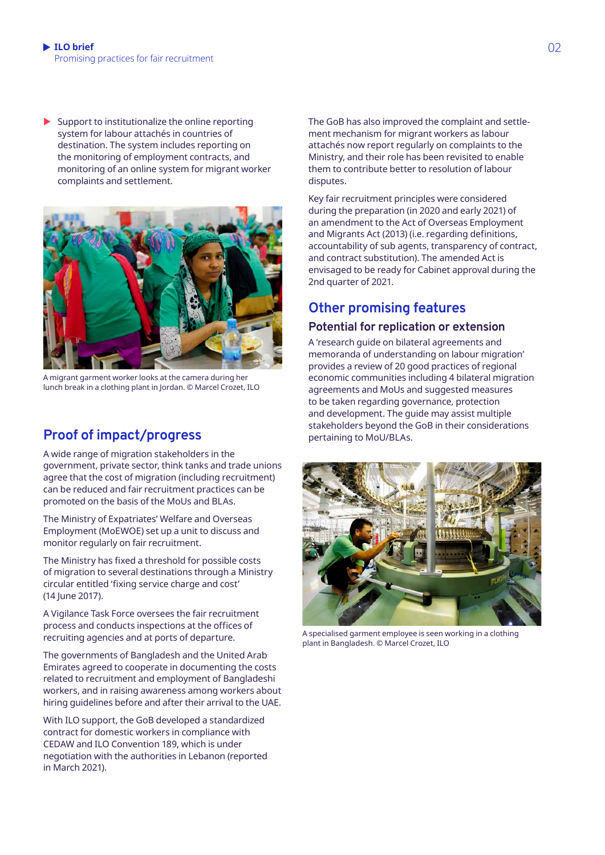Support to institutionalize the online reporting system for labour attachés in countries of destination. The system includes reporting on the monitoring of employment contracts, and monitoring of an online system for migrant worker complaints and settlement.



A migrant garment worker looks at the camera during her lunch break in a clothing plant in Jordan. © Marcel Crozet, ILO

## **Proof of impact/progress**

A wide range of migration stakeholders in the government, private sector, think tanks and trade unions agree that the cost of migration (including recruitment) can be reduced and fair recruitment practices can be promoted on the basis of the MoUs and BLAs.

The Ministry of Expatriates' Welfare and Overseas Employment (MoEWOE) set up a unit to discuss and monitor regularly on fair recruitment.

The Ministry has fixed a threshold for possible costs of migration to several destinations through a Ministry circular entitled 'fixing service charge and cost' (14 June 2017).

A Vigilance Task Force oversees the fair recruitment process and conducts inspections at the offices of recruiting agencies and at ports of departure.

The governments of Bangladesh and the United Arab Emirates agreed to cooperate in documenting the costs related to recruitment and employment of Bangladeshi workers, and in raising awareness among workers about hiring guidelines before and after their arrival to the UAE.

With ILO support, the GoB developed a standardized contract for domestic workers in compliance with CEDAW and ILO Convention 189, which is under negotiation with the authorities in Lebanon (reported in March 2021).

The GoB has also improved the complaint and settlement mechanism for migrant workers as labour attachés now report regularly on complaints to the Ministry, and their role has been revisited to enable them to contribute better to resolution of labour disputes.

Key fair recruitment principles were considered during the preparation (in 2020 and early 2021) of an amendment to the Act of Overseas Employment and Migrants Act (2013) (i.e. regarding definitions, accountability of sub agents, transparency of contract, and contract substitution). The amended Act is envisaged to be ready for Cabinet approval during the 2nd quarter of 2021.

## **Other promising features**

## **Potential for replication or extension**

A 'research guide on bilateral agreements and memoranda of understanding on labour migration' provides a review of 20 good practices of regional economic communities including 4 bilateral migration agreements and MoUs and suggested measures to be taken regarding governance, protection and development. The guide may assist multiple stakeholders beyond the GoB in their considerations pertaining to MoU/BLAs.



A specialised garment employee is seen working in a clothing plant in Bangladesh. © Marcel Crozet, ILO